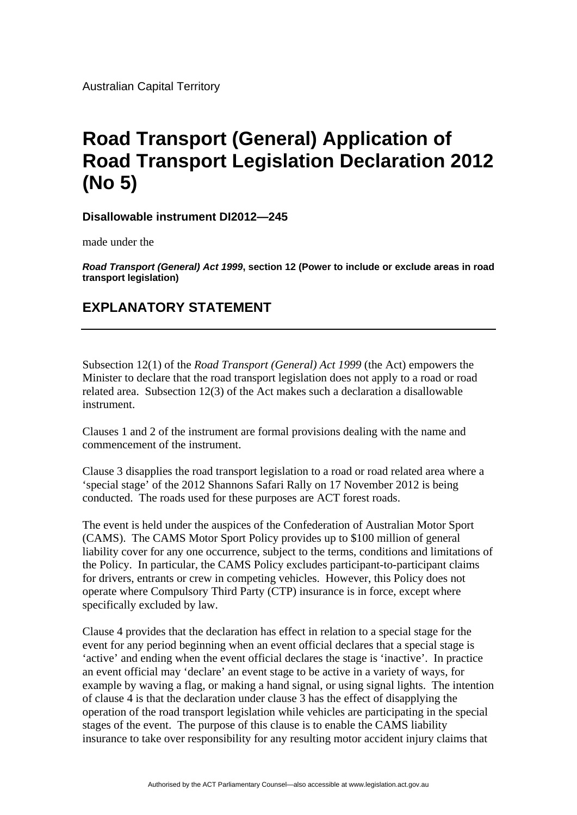Australian Capital Territory

## **Road Transport (General) Application of Road Transport Legislation Declaration 2012 (No 5)**

**Disallowable instrument DI2012—245**

made under the

*Road Transport (General) Act 1999***, section 12 (Power to include or exclude areas in road transport legislation)**

## **EXPLANATORY STATEMENT**

Subsection 12(1) of the *Road Transport (General) Act 1999* (the Act) empowers the Minister to declare that the road transport legislation does not apply to a road or road related area. Subsection 12(3) of the Act makes such a declaration a disallowable instrument.

Clauses 1 and 2 of the instrument are formal provisions dealing with the name and commencement of the instrument.

Clause 3 disapplies the road transport legislation to a road or road related area where a 'special stage' of the 2012 Shannons Safari Rally on 17 November 2012 is being conducted. The roads used for these purposes are ACT forest roads.

The event is held under the auspices of the Confederation of Australian Motor Sport (CAMS). The CAMS Motor Sport Policy provides up to \$100 million of general liability cover for any one occurrence, subject to the terms, conditions and limitations of the Policy. In particular, the CAMS Policy excludes participant-to-participant claims for drivers, entrants or crew in competing vehicles. However, this Policy does not operate where Compulsory Third Party (CTP) insurance is in force, except where specifically excluded by law.

Clause 4 provides that the declaration has effect in relation to a special stage for the event for any period beginning when an event official declares that a special stage is 'active' and ending when the event official declares the stage is 'inactive'. In practice an event official may 'declare' an event stage to be active in a variety of ways, for example by waving a flag, or making a hand signal, or using signal lights. The intention of clause 4 is that the declaration under clause 3 has the effect of disapplying the operation of the road transport legislation while vehicles are participating in the special stages of the event. The purpose of this clause is to enable the CAMS liability insurance to take over responsibility for any resulting motor accident injury claims that